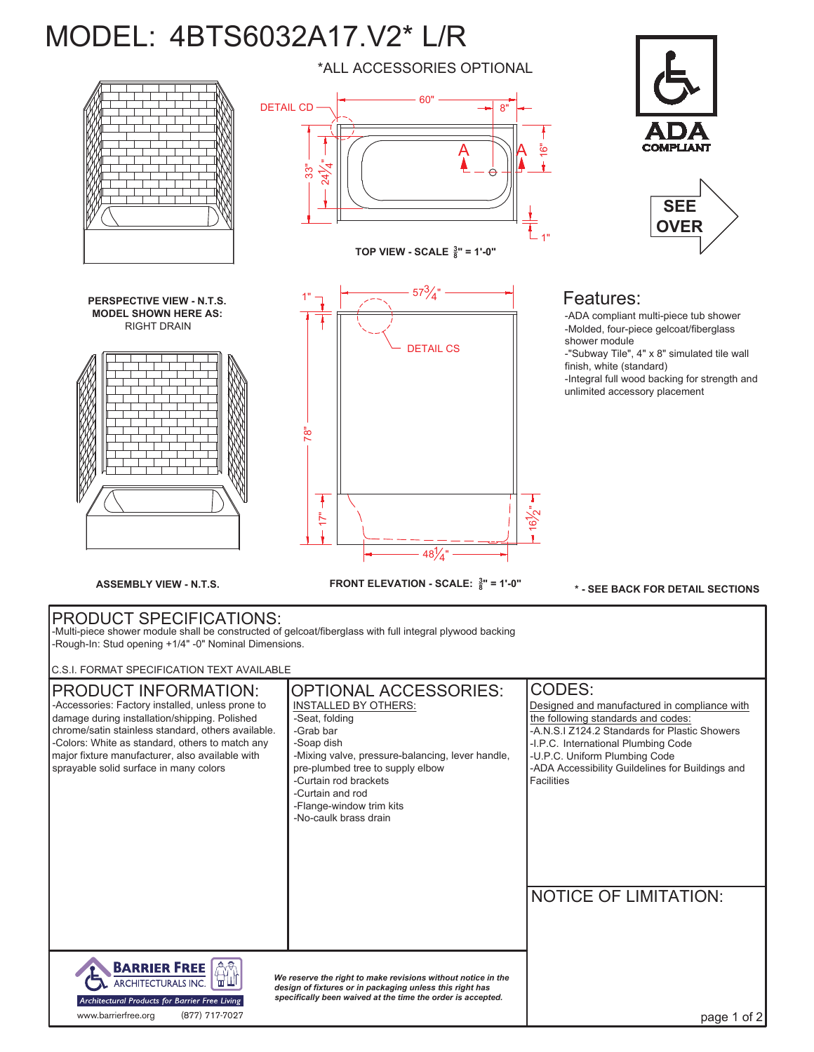## MODEL: 4BTS6032A17.V2\* L/R



**FRONT ELEVATION - SCALE: <sup>3</sup> <sup>8</sup> ASSEMBLY VIEW - N.T.S. " = 1'-0"**

48 $\frac{1}{4}$ "

ے<br>ا

 $\mathbf{r}$ 

**\* - SEE BACK FOR DETAIL SECTIONS**

## PRODUCT SPECIFICATIONS: -Multi-piece shower module shall be constructed of gelcoat/fiberglass with full integral plywood backing

-Rough-In: Stud opening +1/4" -0" Nominal Dimensions.

C.S.I. FORMAT SPECIFICATION TEXT AVAILABLE

| <b>PRODUCT INFORMATION:</b><br>-Accessories: Factory installed, unless prone to<br>damage during installation/shipping. Polished<br>chrome/satin stainless standard, others available.<br>-Colors: White as standard, others to match any<br>major fixture manufacturer, also available with<br>sprayable solid surface in many colors | <b>OPTIONAL ACCESSORIES:</b><br><b>INSTALLED BY OTHERS:</b><br>-Seat, folding<br>-Grab bar<br>-Soap dish<br>-Mixing valve, pressure-balancing, lever handle,<br>pre-plumbed tree to supply elbow<br>-Curtain rod brackets<br>-Curtain and rod<br>-Flange-window trim kits<br>-No-caulk brass drain | CODES:<br>Designed and manufactured in compliance with<br>the following standards and codes:<br>-A.N.S.I Z124.2 Standards for Plastic Showers<br>-I.P.C. International Plumbing Code<br>-U.P.C. Uniform Plumbing Code<br>-ADA Accessibility Guildelines for Buildings and<br><b>Facilities</b><br><b>NOTICE OF LIMITATION:</b> |
|----------------------------------------------------------------------------------------------------------------------------------------------------------------------------------------------------------------------------------------------------------------------------------------------------------------------------------------|----------------------------------------------------------------------------------------------------------------------------------------------------------------------------------------------------------------------------------------------------------------------------------------------------|--------------------------------------------------------------------------------------------------------------------------------------------------------------------------------------------------------------------------------------------------------------------------------------------------------------------------------|
| <b>BARRIER FREE</b><br>We reserve the right to make revisions without notice in the<br>ARCHITECTURALS INC.<br>design of fixtures or in packaging unless this right has<br>specifically been waived at the time the order is accepted.<br>Architectural Products for Barrier Free Living<br>(877) 717-7027<br>www.barrierfree.org       |                                                                                                                                                                                                                                                                                                    | page 1 of 2                                                                                                                                                                                                                                                                                                                    |